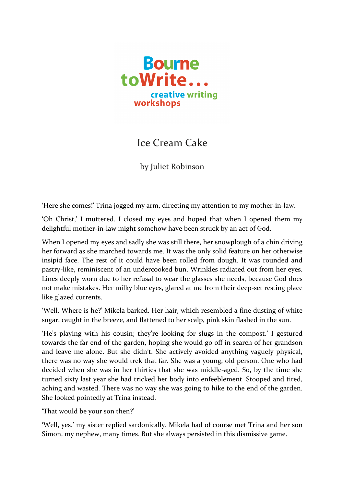

## Ice Cream Cake

by Juliet Robinson

'Here she comes!' Trina jogged my arm, directing my attention to my mother-in-law.

'Oh Christ,' I muttered. I closed my eyes and hoped that when I opened them my delightful mother-in-law might somehow have been struck by an act of God.

When I opened my eyes and sadly she was still there, her snowplough of a chin driving her forward as she marched towards me. It was the only solid feature on her otherwise insipid face. The rest of it could have been rolled from dough. It was rounded and pastry-like, reminiscent of an undercooked bun. Wrinkles radiated out from her eyes. Lines deeply worn due to her refusal to wear the glasses she needs, because God does not make mistakes. Her milky blue eyes, glared at me from their deep-set resting place like glazed currents.

'Well. Where is he?' Mikela barked. Her hair, which resembled a fine dusting of white sugar, caught in the breeze, and flattened to her scalp, pink skin flashed in the sun.

'He's playing with his cousin; they're looking for slugs in the compost.' I gestured towards the far end of the garden, hoping she would go off in search of her grandson and leave me alone. But she didn't. She actively avoided anything vaguely physical, there was no way she would trek that far. She was a young, old person. One who had decided when she was in her thirties that she was middle-aged. So, by the time she turned sixty last year she had tricked her body into enfeeblement. Stooped and tired, aching and wasted. There was no way she was going to hike to the end of the garden. She looked pointedly at Trina instead.

'That would be your son then?'

'Well, yes.' my sister replied sardonically. Mikela had of course met Trina and her son Simon, my nephew, many times. But she always persisted in this dismissive game.